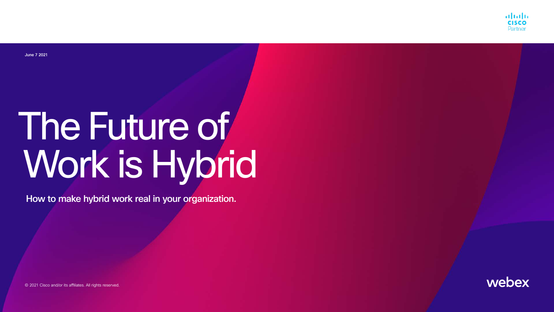How to make hybrid work real in your organization.

# The Future of Work is Hybrid

© 2021 Cisco and/or its affiliates. All rights reserved.







| وأجيانا                                                                                                        |                                         |  |  |
|----------------------------------------------------------------------------------------------------------------|-----------------------------------------|--|--|
|                                                                                                                |                                         |  |  |
|                                                                                                                |                                         |  |  |
|                                                                                                                |                                         |  |  |
|                                                                                                                |                                         |  |  |
|                                                                                                                |                                         |  |  |
|                                                                                                                |                                         |  |  |
|                                                                                                                |                                         |  |  |
|                                                                                                                |                                         |  |  |
|                                                                                                                |                                         |  |  |
|                                                                                                                |                                         |  |  |
|                                                                                                                |                                         |  |  |
|                                                                                                                |                                         |  |  |
|                                                                                                                |                                         |  |  |
|                                                                                                                |                                         |  |  |
|                                                                                                                |                                         |  |  |
| <del>▁</del> ▁▁▁▁▁▁▁▁                                                                                          |                                         |  |  |
| <u> Barat da Ba</u>                                                                                            |                                         |  |  |
| <b>The Company</b>                                                                                             |                                         |  |  |
|                                                                                                                |                                         |  |  |
|                                                                                                                |                                         |  |  |
| المستحصر                                                                                                       |                                         |  |  |
| a di Kabupatén Band                                                                                            |                                         |  |  |
| <b>The Color</b>                                                                                               |                                         |  |  |
|                                                                                                                |                                         |  |  |
|                                                                                                                |                                         |  |  |
|                                                                                                                |                                         |  |  |
|                                                                                                                |                                         |  |  |
|                                                                                                                |                                         |  |  |
|                                                                                                                |                                         |  |  |
|                                                                                                                | <u> Tanzania (h. 1878).</u>             |  |  |
| a sa mga kalawang sa pag-alawang sa pag-alawang sa pag-alawang sa pag-alawang sa pag-alawang sa pag-alawang sa |                                         |  |  |
|                                                                                                                | $\mathcal{L}^{\text{max}}_{\text{max}}$ |  |  |
| and the state of the state of the state of the state of the state of the state of the state of the state of th |                                         |  |  |
|                                                                                                                |                                         |  |  |
|                                                                                                                |                                         |  |  |
| and the state of the state of the state of the state of the state of the state of the state of the state of th |                                         |  |  |
| <b>The Color</b>                                                                                               |                                         |  |  |
|                                                                                                                |                                         |  |  |
|                                                                                                                |                                         |  |  |
|                                                                                                                |                                         |  |  |
|                                                                                                                |                                         |  |  |
|                                                                                                                |                                         |  |  |
|                                                                                                                |                                         |  |  |
|                                                                                                                |                                         |  |  |

June 7 2021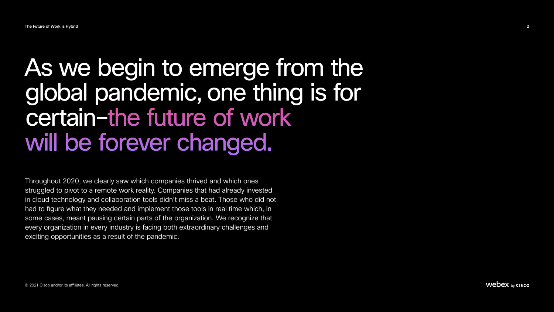### As we begin to emerge from the global pandemic, one thing is for certain–the future of work will be forever changed.

Throughout 2020, we clearly saw which companies thrived and which ones struggled to pivot to a remote work reality. Companies that had already invested in cloud technology and collaboration tools didn't miss a beat. Those who did not had to figure what they needed and implement those tools in real time which, in some cases, meant pausing certain parts of the organization. We recognize that every organization in every industry is facing both extraordinary challenges and exciting opportunities as a result of the pandemic.

Webex by cisco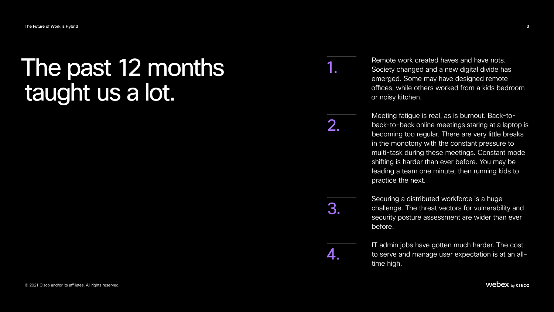### The past 12 months taught us a lot.

Remote work created haves and have nots. Society changed and a new digital divide has emerged. Some may have designed remote offices, while others worked from a kids bedroom or noisy kitchen.

Meeting fatigue is real, as is burnout. Back-toback-to-back online meetings staring at a laptop is becoming too regular. There are very little breaks in the monotony with the constant pressure to multi-task during these meetings. Constant mode shifting is harder than ever before. You may be leading a team one minute, then running kids to practice the next. 2.

Securing a distributed workforce is a huge challenge. The threat vectors for vulnerability and security posture assessment are wider than ever before. 3.

> IT admin jobs have gotten much harder. The cost to serve and manage user expectation is at an alltime high.

#### Webex by cisco

1.

4.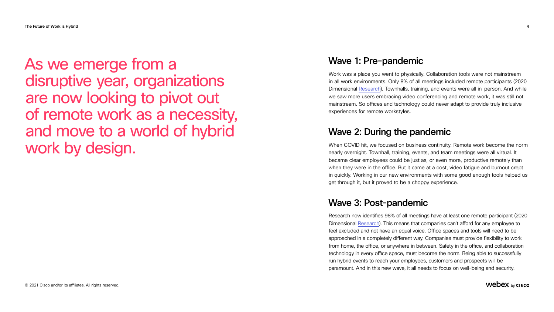### As we emerge from a disruptive year, organizations are now looking to pivot out of remote work as a necessity, and move to a world of hybrid work by design.

#### Wave 3: Post-pandemic

Research now identifies 98% of all meetings have at least one remote participant (2020 Dimensional [Research](https://www.cisco.com/c/en/us/products/collaboration-endpoints/workforce-survey-2020.html)). This means that companies can't afford for any employee to feel excluded and not have an equal voice. Office spaces and tools will need to be approached in a completely different way. Companies must provide flexibility to work from home, the office, or anywhere in between. Safety in the office, and collaboration technology in every office space, must become the norm. Being able to successfully run hybrid events to reach your employees, customers and prospects will be paramount. And in this new wave, it all needs to focus on well-being and security.

#### Webex by cisco









#### Wave 1: Pre-pandemic

Work was a place you went to physically. Collaboration tools were not mainstream in all work environments. Only 8% of all meetings included remote participants (2020 Dimensional [Research](https://www.cisco.com/c/en/us/products/collaboration-endpoints/workforce-survey-2020.html)). Townhalls, training, and events were all in-person. And while we saw more users embracing video conferencing and remote work, it was still not mainstream. So offices and technology could never adapt to provide truly inclusive experiences for remote workstyles.

#### Wave 2: During the pandemic

When COVID hit, we focused on business continuity. Remote work become the norm nearly overnight. Townhall, training, events, and team meetings were all virtual. It became clear employees could be just as, or even more, productive remotely than when they were in the office. But it came at a cost, video fatigue and burnout crept in quickly. Working in our new environments with some good enough tools helped us get through it, but it proved to be a choppy experience.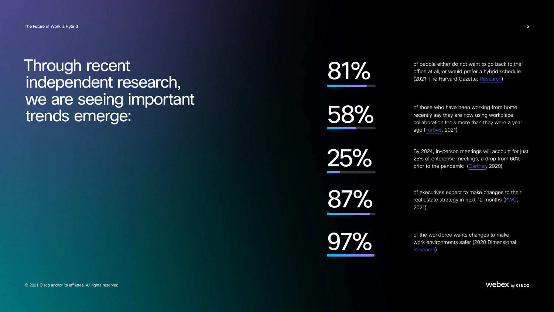### Through recent independent research, we are seeing important trends emerge:

of people either do not want to go back to the office at all, or would prefer a hybrid schedule (2021 The Harvard Gazette, [Research\)](https://news.harvard.edu/gazette/story/2021/03/survey-reveals-what-worked-about-online-work/)

of those who have been working from home recently say they are now using workplace collaboration tools more than they were a year ago ([Forbes](https://www.forbes.com/sites/surveymonkey/2021/03/23/remote-work-is-here-to-stay-but-the-future-is-hybrid/?sh=405efefedb66), 2021)

By 2024, in-person meetings will account for just 25% of enterprise meetings, a drop from 60% prior to the pandemic [\(Gartner](https://www.gartner.com/en/newsroom/press-releases/2020-06-02-gartner-says-worldwide-end-user-spending-on-cloud-based-web-conferencing-solutions-will-grow-nearly-25-percent-in-2020), 2020)

of executives expect to make changes to their real estate strategy in next 12 months ([PWC](https://www.pwc.com/us/en/library/covid-19/us-remote-work-survey.html), 2021)

of the workforce wants changes to make work environments safer (2020 Dimensional [Research\)](https://www.cisco.com/c/en/us/products/collaboration-endpoints/workforce-survey-2020.html)

Webex by cisco

81%

58%

25%

87%

97%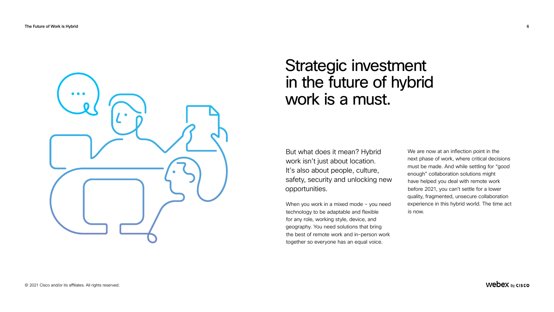#### Strategic investment in the future of hybrid work is a must.

But what does it mean? Hybrid work isn't just about location. It's also about people, culture, safety, security and unlocking new opportunities.

When you work in a mixed mode – you need technology to be adaptable and flexible for any role, working style, device, and geography. You need solutions that bring the best of remote work and in-person work together so everyone has an equal voice.

We are now at an inflection point in the next phase of work, where critical decisions must be made. And while settling for "good enough" collaboration solutions might have helped you deal with remote work before 2021, you can't settle for a lower quality, fragmented, unsecure collaboration experience in this hybrid world. The time act is now.

Webex by cisco

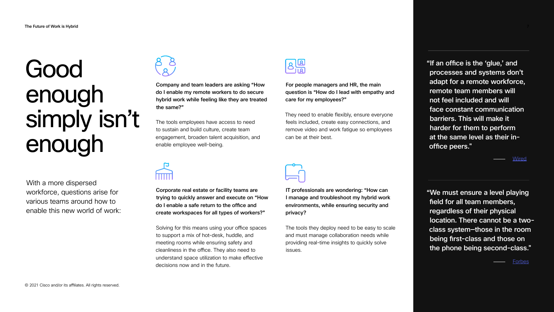With a more dispersed workforce, questions arise for various teams around how to enable this new world of work:



Company and team leaders are asking "How do I enable my remote workers to do secure hybrid work while feeling like they are treated the same?"

 The tools employees have access to need to sustain and build culture, create team engagement, broaden talent acquisition, and enable employee well-being.

Corporate real estate or facility teams are trying to quickly answer and execute on "How do I enable a safe return to the office and create workspaces for all types of workers?"

Solving for this means using your office spaces to support a mix of hot-desk, huddle, and meeting rooms while ensuring safety and cleanliness in the office. They also need to understand space utilization to make effective decisions now and in the future.

For people managers and HR, the main question is "How do I lead with empathy and care for my employees?"

They need to enable flexibly, ensure everyone feels included, create easy connections, and remove video and work fatigue so employees can be at their best.



|   | IT professionals are wondering: "How can  |
|---|-------------------------------------------|
| W | I manage and troubleshoot my hybrid work  |
|   | environments, while ensuring security and |
|   | privacy?                                  |

 The tools they deploy need to be easy to scale and must manage collaboration needs while providing real-time insights to quickly solve issues.

"If an office is the 'glue,' and processes and systems don't adapt for a remote workforce, remote team members will not feel included and will face constant communication barriers. This will make it harder for them to perform at the same level as their inoffice peers." "We must ensure a level playing field for all team members, regardless of their physical location. There cannot be a twoclass system—those in the room being first-class and those on **[Wired](https://www.wired.com/story/hybrid-remote-work-offers-the-worst-of-both-worlds/)** The Future of Work is Hybrid 7

the phone being second-class."

<u>[Forbes](https://www.forbes.com/sites/jackkelly/2021/02/22/the-hybrid-model-of-working-remotely-and-in-the-office-could-create-big-expenses-for-companies-and-give-rise-to-two-classes-of-employees/?sh=28c1aff01bde)</u>

### Good enough simply isn't enough

$$
\begin{matrix} 8 \\ 8 \end{matrix}
$$

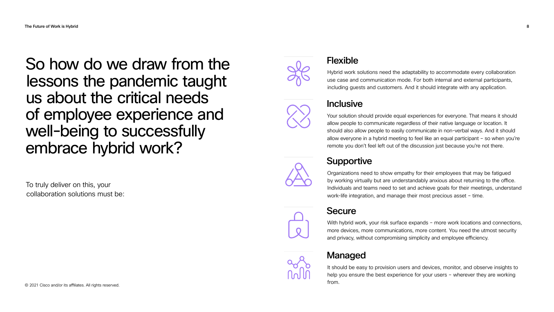### So how do we draw from the lessons the pandemic taught us about the critical needs of employee experience and well-being to successfully embrace hybrid work?

To truly deliver on this, your collaboration solutions must be: Hybrid work solutions need the adaptability to accommodate every collaboration use case and communication mode. For both internal and external participants, including guests and customers. And it should integrate with any application.

#### **Inclusive**

Your solution should provide equal experiences for everyone. That means it should allow people to communicate regardless of their native language or location. It should also allow people to easily communicate in non-verbal ways. And it should allow everyone in a hybrid meeting to feel like an equal participant – so when you're remote you don't feel left out of the discussion just because you're not there.



#### **Supportive**

With hybrid work, your risk surface expands - more work locations and connections, more devices, more communications, more content. You need the utmost security and privacy, without compromising simplicity and employee efficiency.



Organizations need to show empathy for their employees that may be fatigued by working virtually but are understandably anxious about returning to the office. Individuals and teams need to set and achieve goals for their meetings, understand work-life integration, and manage their most precious asset – time.

#### **Secure**

#### Flexible

#### Managed

© 2021 Cisco and/or its affiliates. All rights reserved.



It should be easy to provision users and devices, monitor, and observe insights to help you ensure the best experience for your users – wherever they are working from.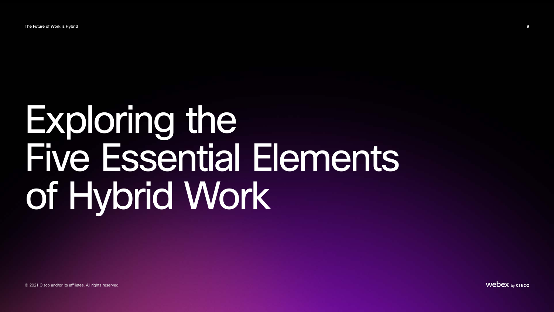# Exploring the Five Essential Elements of Hybrid Work

The Future of Work is Hybrid 9

© 2021 Cisco and/or its affiliates. All rights reserved.

Webex by cisco

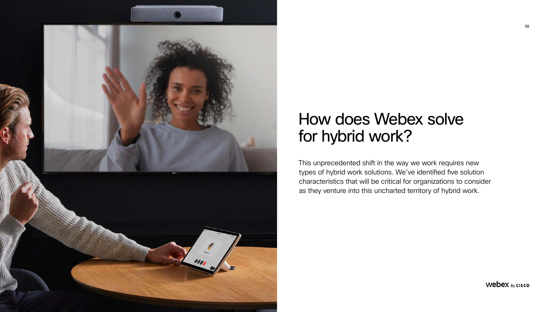

### How does Webex solve for hybrid work?

This unprecedented shift in the way we work requires new types of hybrid work solutions. We've identified five solution characteristics that will be critical for organizations to consider as they venture into this uncharted territory of hybrid work.

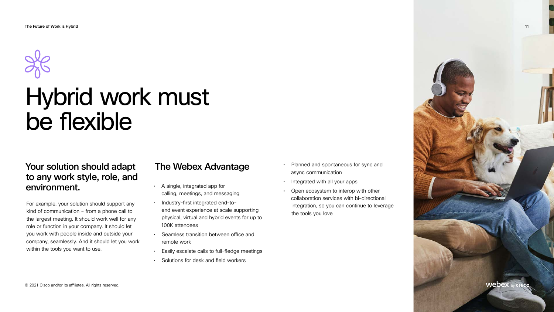### Hybrid work must be flexible

#### Your solution should adapt to any work style, role, and environment.

For example, your solution should support any kind of communication – from a phone call to the largest meeting. It should work well for any role or function in your company. It should let you work with people inside and outside your company, seamlessly. And it should let you work within the tools you want to use.

#### The Webex Advantage

- A single, integrated app for calling, meetings, and messaging
- Industry-first integrated end-toend event experience at scale supporting physical, virtual and hybrid events for up to 100K attendees
- Seamless transition between office and remote work
- Easily escalate calls to full-fledge meetings
- Solutions for desk and field workers
- Planned and spontaneous for sync and async communication
- Integrated with all your apps
- Open ecosystem to interop with other collaboration services with bi-directional integration, so you can continue to leverage the tools you love

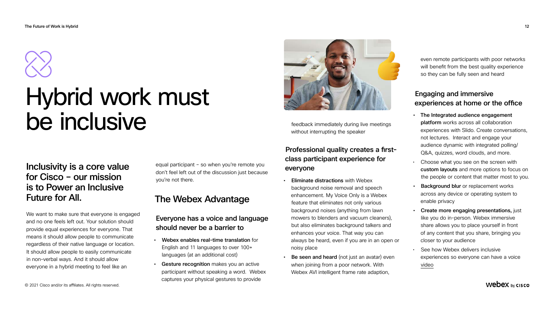#### Inclusivity is a core value for Cisco – our mission is to Power an Inclusive Future for All.

We want to make sure that everyone is engaged and no one feels left out. Your solution should provide equal experiences for everyone. That means it should allow people to communicate regardless of their native language or location. It should allow people to easily communicate in non-verbal ways. And it should allow everyone in a hybrid meeting to feel like an

equal participant – so when you're remote you don't feel left out of the discussion just because you're not there.

#### The Webex Advantage

#### Everyone has a voice and language should never be a barrier to

- **Eliminate distractions with Webex** background noise removal and speech enhancement. My Voice Only is a Webex feature that eliminates not only various background noises (anything from lawn mowers to blenders and vacuum cleaners), but also eliminates background talkers and enhances your voice. That way you can always be heard, even if you are in an open or noisy place
- **Be seen and heard** (not just an avatar) even when joining from a poor network. With Webex AVI intelligent frame rate adaption,
- Webex enables real-time translation for English and 11 languages to over 100+ languages (at an additional cost)
- Gesture recognition makes you an active participant without speaking a word. Webex captures your physical gestures to provide

feedback immediately during live meetings without interrupting the speaker

#### Professional quality creates a firstclass participant experience for everyone

### Hybrid work must be inclusive

even remote participants with poor networks will benefit from the best quality experience so they can be fully seen and heard

#### Engaging and immersive experiences at home or the office

- The Integrated audience engagement platform works across all collaboration experiences with Slido. Create conversations, not lectures. Interact and engage your audience dynamic with integrated polling/ Q&A, quizzes, word clouds, and more.
- Choose what you see on the screen with custom layouts and more options to focus on the people or content that matter most to you.
- **Background blur** or replacement works across any device or operating system to enable privacy
- Create more engaging presentations, just like you do in-person. Webex immersive share allows you to place yourself in front of any content that you share, bringing you closer to your audience
- See how Webex delivers inclusive experiences so everyone can have a voice video

#### Webex by cisco

The Future of Work is Hybrid 12



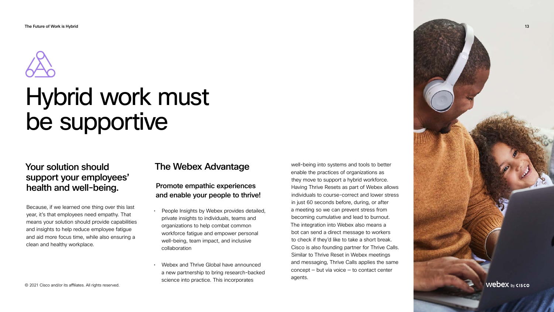#### Your solution should support your employees' health and well-being.

Because, if we learned one thing over this last year, it's that employees need empathy. That means your solution should provide capabilities and insights to help reduce employee fatigue and aid more focus time, while also ensuring a clean and healthy workplace.

#### The Webex Advantage

#### Promote empathic experiences and enable your people to thrive!

- People Insights by Webex provides detailed, private insights to individuals, teams and organizations to help combat common workforce fatigue and empower personal well-being, team impact, and inclusive collaboration
- Webex and Thrive Global have announced a new partnership to bring research-backed science into practice. This incorporates

The Future of Work is Hybrid 13 Webex by cisco





### Hybrid work must be supportive

well-being into systems and tools to better enable the practices of organizations as they move to support a hybrid workforce. Having Thrive Resets as part of Webex allows individuals to course-correct and lower stress in just 60 seconds before, during, or after a meeting so we can prevent stress from becoming cumulative and lead to burnout. The integration into Webex also means a bot can send a direct message to workers to check if they'd like to take a short break. Cisco is also founding partner for Thrive Calls. Similar to Thrive Reset in Webex meetings and messaging, Thrive Calls applies the same  $concept - but via voice - to contact center$ agents.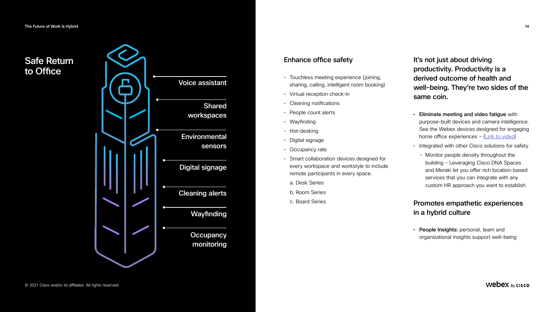#### Enhance office safety

- Touchless meeting experience (joining, sharing, calling, intelligent room booking)
- Virtual reception check-in
- Cleaning notifications
- People count alerts
- Wayfinding
- Hot-desking
- Digital signage
- Occupancy rate
- Smart collaboration devices designed for every workspace and workstyle to include remote participants in every space.
	- a. Desk Series
	- b. Room Series
	- c. Board Series

It's not just about driving productivity. Productivity is a derived outcome of health and well-being. They're two sides of the same coin.

- Eliminate meeting and video fatigue with purpose-built devices and camera intelligence. See the Webex devices designed for engaging home office experiences - ([Link to video\)](https://www.youtube.com/watch?v=TFdvWNhnllI)
- Integrated with other Cisco solutions for safety
- Monitor people density throughout the building - Leveraging Cisco DNA Spaces and Meraki let you offer rich location-based services that you can integrate with any custom HR approach you want to establish

#### Promotes empathetic experiences in a hybrid culture

• People Insights: personal, team and organizational insights support well-being

#### Safe Return to Office

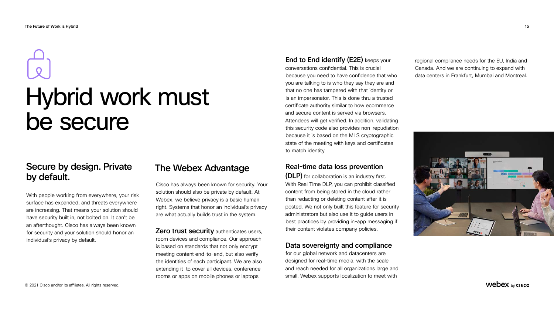#### Secure by design. Private by default.

With people working from everywhere, your risk surface has expanded, and threats everywhere are increasing. That means your solution should have security built in, not bolted on. It can't be an afterthought. Cisco has always been known for security and your solution should honor an individual's privacy by default.

#### The Webex Advantage

**Zero trust security authenticates users,** room devices and compliance. Our approach is based on standards that not only encrypt meeting content end-to-end, but also verify the identities of each participant. We are also extending it to cover all devices, conference rooms or apps on mobile phones or laptops

Cisco has always been known for security. Your solution should also be private by default. At Webex, we believe privacy is a basic human right. Systems that honor an individual's privacy are what actually builds trust in the system.

End to End identify (E2E) keeps your conversations confidential. This is crucial because you need to have confidence that who you are talking to is who they say they are and that no one has tampered with that identity or is an impersonator. This is done thru a trusted certificate authority similar to how ecommerce and secure content is served via browsers. Attendees will get verified. In addition, validating this security code also provides non-repudiation because it is based on the MLS cryptographic state of the meeting with keys and certificates to match identity

#### Real-time data loss prevention

(DLP) for collaboration is an industry first. With Real Time DLP, you can prohibit classified content from being stored in the cloud rather than redacting or deleting content after it is posted. We not only built this feature for security administrators but also use it to guide users in best practices by providing in-app messaging if their content violates company policies.

#### Data sovereignty and compliance

for our global network and datacenters are designed for real-time media, with the scale and reach needed for all organizations large and small. Webex supports localization to meet with

regional compliance needs for the EU, India and Canada. And we are continuing to expand with data centers in Frankfurt, Mumbai and Montreal.



Webex by cisco



# Hybrid work must be secure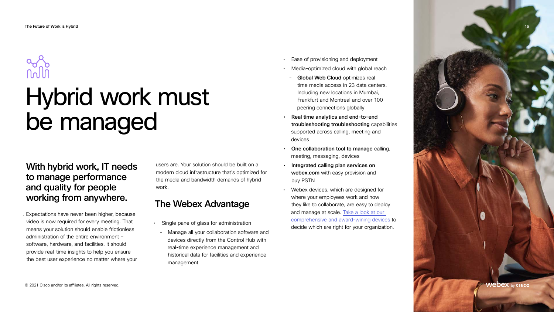With hybrid work, IT needs to manage performance and quality for people working from anywhere.

. Expectations have never been higher, because video is now required for every meeting. That means your solution should enable frictionless administration of the entire environment – software, hardware, and facilities. It should provide real-time insights to help you ensure the best user experience no matter where your

## 

## Hybrid work must be managed

users are. Your solution should be built on a modern cloud infrastructure that's optimized for the media and bandwidth demands of hybrid work.

#### The Webex Advantage

- Single pane of glass for administration
	- Manage all your collaboration software and devices directly from the Control Hub with real-time experience management and historical data for facilities and experience management
- Ease of provisioning and deployment
- Media-optimized cloud with global reach
	- **Global Web Cloud optimizes real** time media access in 23 data centers. Including new locations in Mumbai, Frankfurt and Montreal and over 100 peering connections globally
- Real time analytics and end-to-end troubleshooting troubleshooting capabilities supported across calling, meeting and devices
- One collaboration tool to manage calling, meeting, messaging, devices
- Integrated calling plan services on webex.com with easy provision and buy PSTN
- Webex devices, which are designed for where your employees work and how they like to collaborate, are easy to deploy and manage at scale. [Take a look at our](https://www.webex.com/video-conference-equipment.html)  [comprehensive and award-wining devices](https://www.webex.com/video-conference-equipment.html) to decide which are right for your organization.

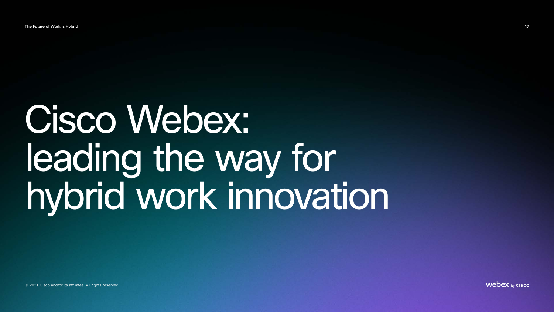# Cisco Webex: leading the way for hybrid work innovation

The Future of Work is Hybrid 17

© 2021 Cisco and/or its affiliates. All rights reserved.

Webex by cisco

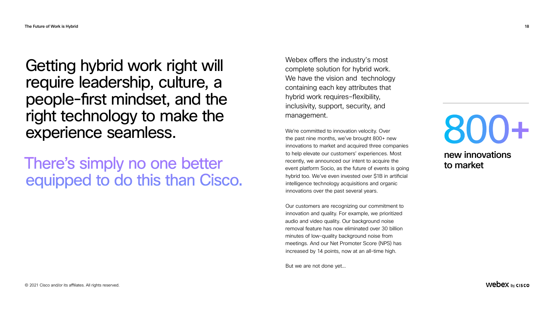Webex offers the industry's most complete solution for hybrid work. We have the vision and technology containing each key attributes that hybrid work requires–flexibility, inclusivity, support, security, and management.

We're committed to innovation velocity. Over the past nine months, we've brought 800+ new innovations to market and acquired three companies to help elevate our customers' experiences. Most recently, we announced our intent to acquire the event platform Socio, as the future of events is going hybrid too. We've even invested over \$1B in artificial intelligence technology acquisitions and organic innovations over the past several years.

Our customers are recognizing our commitment to innovation and quality. For example, we prioritized audio and video quality. Our background noise removal feature has now eliminated over 30 billion minutes of low-quality background noise from meetings. And our Net Promoter Score (NPS) has increased by 14 points, now at an all-time high.

But we are not done yet...

# **800**

#### Getting hybrid work right will require leadership, culture, a people-first mindset, and the right technology to make the experience seamless.

There's simply no one better equipped to do this than Cisco.

new innovations to market

Webex by cisco

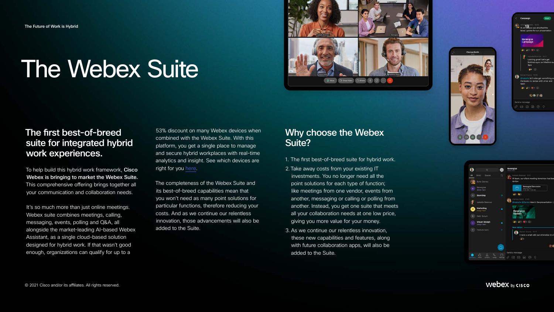## The Webex Suite

#### The first best-of-breed suite for integrated hybrid work experiences.

To help build this hybrid work framework, Cisco Webex is bringing to market the Webex Suite. This comprehensive offering brings together all your communication and collaboration needs.

It's so much more than just online meetings. Webex suite combines meetings, calling, messaging, events, polling and Q&A, all alongside the market-leading AI-based Webex Assistant, as a single cloud-based solution designed for hybrid work. If that wasn't good enough, organizations can qualify for up to a

53% discount on many Webex devices when combined with the Webex Suite. With this platform, you get a single place to manage and secure hybrid workplaces with real-time analytics and insight. See which devices are right for you [here](https://www.webex.com/video-conference-equipment.html).

The completeness of the Webex Suite and its best-of-breed capabilities mean that you won't need as many point solutions for particular functions, therefore reducing your costs. And as we continue our relentless innovation, those advancements will also be added to the Suite.

#### Why choose the Webex Suite?

- 1. The first best-of-breed suite for hybrid work.
- 2. Take away costs from your existing IT investments. You no longer need all the point solutions for each type of function; like meetings from one vendor, events from another, messaging or calling or polling from another. Instead, you get one suite that meets all your collaboration needs at one low price, giving you more value for your money.
- 3. As we continue our relentless innovation, these new capabilities and features, along with future collaboration apps, will also be added to the Suite.





#### Webex by cisco

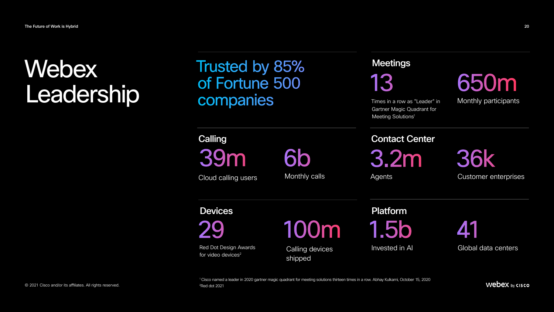39m **Calling** 

## of Fortune 500 companies

Red Dot Design Awards for video devices<sup>2</sup>

13

29 41 100m 1.5b

Times in a row as "Leader" in Gartner Magic Quadrant for Meeting Solutions<sup>1</sup>

Monthly participants

6b Monthly calls

#### **Meetings**

Global data centers

<sup>1</sup> Cisco named a leader in 2020 gartner magic quadrant for meeting solutions thirteen times in a row. Abhay Kulkarni, October 15, 2020

Webex by cisco



Calling devices shipped

Devices Platform

Invested in AI

Cloud calling users

3.2m 36k

Agents Customer enterprises

#### Contact Center

2 Red dot 2021

### Webex Webex Frusted by 85% Meetings<br>
Leadership companies 13 Meetings 650m<br>
Leadership companies **13**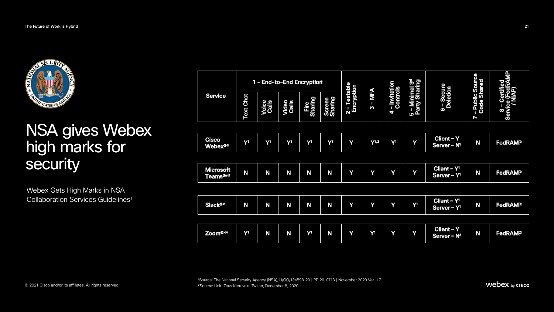### NSA gives Webex high marks for security

Webex Gets High Marks in NSA Collaboration Services Guidelines<sup>1</sup>

1 Source: The National Security Agency (NSA), U/OO/134598-20 | PP 20-0713 | November 2020 Ver. 1.7

Webex by cisco



| <b>Service</b> |                                            | <b>Text Chat</b> | 1 - End-to-End Encryption<br><b>Voice</b><br>Calls | <b>Video<br/>Calls</b> | Fire<br>haring                   | <b>Screen</b><br>Sharing | 2 - Testable<br>Encryption | MFA<br>$\boldsymbol{\omega}$ | - Invitation<br>Controls | 5 - Minimal 3 <sup>d</sup><br>Party Sharing | 5 - Secure<br>Deletion                             | - Public Source<br>Code Shared | $\mathbf{\underline{a}}$<br>ed |
|----------------|--------------------------------------------|------------------|----------------------------------------------------|------------------------|----------------------------------|--------------------------|----------------------------|------------------------------|--------------------------|---------------------------------------------|----------------------------------------------------|--------------------------------|--------------------------------|
|                |                                            |                  |                                                    |                        | $\overline{\boldsymbol{\sigma}}$ |                          |                            |                              | 4                        |                                             | $\bullet$                                          | $\blacktriangleright$          | 8<br><b>Ser</b>                |
|                |                                            |                  |                                                    |                        |                                  |                          |                            |                              |                          |                                             |                                                    |                                |                                |
|                | Cisco<br><b>Webex®iii</b>                  | Y <sup>1</sup>   | Y <sup>1</sup>                                     | Y <sup>1</sup>         | $\mathbf{Y}^1$                   | Y <sup>1</sup>           | Y                          | $Y$ <sup>1,2</sup>           | Y <sup>1</sup>           | Y                                           | <b>Client - Y</b><br>Server - $N^3$                | N                              | <b>FedRAMP</b>                 |
|                |                                            |                  |                                                    |                        |                                  |                          |                            |                              |                          |                                             |                                                    |                                |                                |
|                | <b>Microsoft</b><br>Teams <sup>®viii</sup> | N                | N                                                  | N                      | N                                | N                        | Y                          | Y                            | Y                        | Y                                           | Client - Y <sup>1</sup><br>Server - Y <sup>1</sup> | N                              | <b>FedRAMP</b>                 |
|                |                                            |                  |                                                    |                        |                                  |                          |                            |                              |                          |                                             |                                                    |                                |                                |
|                | <b>Slack®xi</b>                            | N                | N                                                  | N                      | N                                | N                        | Y                          | Y                            | Y                        | $Y^1$                                       | Client - Y <sup>1</sup><br>Server - Y <sup>1</sup> | N                              | <b>FedRAMP</b>                 |
|                |                                            |                  |                                                    |                        |                                  |                          |                            |                              |                          |                                             |                                                    |                                |                                |
|                | Zoom <sup>®xiv</sup>                       | Y <sup>1</sup>   | N                                                  | N                      | Y <sup>1</sup>                   | N                        | Y                          | Y <sup>1</sup>               | Y                        | Y                                           | Client - Y<br>Server - $N^3$                       | N                              | <b>FedRAMP</b>                 |
|                |                                            |                  |                                                    |                        |                                  |                          |                            |                              |                          |                                             |                                                    |                                |                                |

| <b>Service</b> |                                                  |                | 1 - End-to-End Encryption |                 |                          |                            |                                                                 |                               |                                             |                             | O)                                                      |                                                | 日<br><b>98</b> |
|----------------|--------------------------------------------------|----------------|---------------------------|-----------------|--------------------------|----------------------------|-----------------------------------------------------------------|-------------------------------|---------------------------------------------|-----------------------------|---------------------------------------------------------|------------------------------------------------|----------------|
|                | <b>Text Chat</b>                                 | Voice<br>Calls | <b>Video<br/>Calls</b>    | Fire<br>Sharing | <b>Screen</b><br>Sharing | 2 - Testable<br>Encryption | <b>NFA</b><br>$\overline{\phantom{a}}$<br>$\boldsymbol{\omega}$ | - Invitation<br>Controls<br>4 | 5 - Minimal 3 <sup>d</sup><br>Party Sharing | 5 - Secure<br>Deletion<br>6 | - Public Source<br>Code Shared<br>$\blacktriangleright$ | O)<br><u>p</u><br>$\boldsymbol{\infty}$<br>Ser |                |
|                |                                                  |                |                           |                 |                          |                            |                                                                 |                               |                                             |                             |                                                         |                                                |                |
|                | Cisco<br><b>Webex®ill</b>                        | Y <sup>1</sup> | Y <sup>1</sup>            | Y <sup>1</sup>  | Y <sup>1</sup>           | Y <sup>1</sup>             | Y                                                               | $Y$ <sup>1,2</sup>            | $\mathbf{V}^1$                              | Y                           | <b>Client - Y</b><br>Server - N <sup>3</sup>            | N                                              | <b>FedRAM</b>  |
|                |                                                  |                |                           |                 |                          |                            |                                                                 |                               |                                             |                             |                                                         |                                                |                |
|                | <b>Microsoft</b><br><b>Teams<sup>®viii</sup></b> | N              | N                         | N               | N                        | N                          | Y                                                               | Y                             | Y                                           | Y                           | Client - Y <sup>1</sup><br>Server - Y <sup>1</sup>      | N                                              | <b>FedRAM</b>  |
|                |                                                  |                |                           |                 |                          |                            |                                                                 |                               |                                             |                             |                                                         |                                                |                |
|                | <b>Slack®xi</b>                                  | N              | N                         | N               | N                        | N                          | Y                                                               | Y                             | Y                                           | Y <sup>1</sup>              | Client - Y'<br>Server - Y <sup>1</sup>                  | N                                              | <b>FedRAM</b>  |
|                |                                                  |                |                           |                 |                          |                            |                                                                 |                               |                                             |                             |                                                         |                                                |                |
|                | Zoom <sup>®xiv</sup>                             | Y <sup>1</sup> | N                         | N               | Y <sup>1</sup>           | N                          | Y                                                               | Y <sup>1</sup>                | Y                                           | Y                           | <b>Client - Y</b><br>Server - N <sup>3</sup>            | N                                              | <b>FedRAM</b>  |
|                |                                                  |                |                           |                 |                          |                            |                                                                 |                               |                                             |                             |                                                         |                                                |                |

| Service |                                           |                  |                | 1 - End-to-End Encryption |                 |                          | 2 - Testable<br>Encryption | <b>NFA</b><br>$\overline{\phantom{a}}$<br>$\boldsymbol{\omega}$ | - Invitation<br>Controls<br>4 | 5 - Minimal 3 <sup>d</sup><br>Party Sharing | Œ)<br>5 - Secure<br>Deletion<br>6                  | - Public Source<br>Code Shared<br>$\blacktriangleright$ | 旨<br><b>98</b><br>O)<br>Service<br>$\boldsymbol{\infty}$ |
|---------|-------------------------------------------|------------------|----------------|---------------------------|-----------------|--------------------------|----------------------------|-----------------------------------------------------------------|-------------------------------|---------------------------------------------|----------------------------------------------------|---------------------------------------------------------|----------------------------------------------------------|
|         |                                           | <b>Text Chat</b> | Voice<br>Calls | <b>Video<br/>Calls</b>    | Fire<br>Sharing | <b>Screen</b><br>Sharing |                            |                                                                 |                               |                                             |                                                    |                                                         |                                                          |
|         |                                           |                  |                |                           |                 |                          |                            |                                                                 |                               |                                             |                                                    |                                                         |                                                          |
|         | <b>Cisco</b><br><b>Webex®iii</b>          | Y <sup>1</sup>   | Y <sup>1</sup> | Y <sup>1</sup>            | Y <sup>1</sup>  | Y <sup>1</sup>           | Y                          | $Y$ <sup>1,2</sup>                                              | Y <sup>1</sup>                | Y                                           | Client - Y<br>Server - $N^3$                       | N                                                       | <b>FedRAM</b>                                            |
|         |                                           |                  |                |                           |                 |                          |                            |                                                                 |                               |                                             |                                                    |                                                         |                                                          |
|         | Microsoft<br><b>Teams<sup>®viii</sup></b> | N                | N              | N                         | N               | N                        | Y                          | Y                                                               | Y                             | Y                                           | Client - $Y^1$<br>Server - Y <sup>1</sup>          | N                                                       | <b>FedRAM</b>                                            |
|         |                                           |                  |                |                           |                 |                          |                            |                                                                 |                               |                                             |                                                    |                                                         |                                                          |
|         | <b>Slack®xi</b>                           | N                | N              | N                         | N               | N                        | Y                          | Y                                                               | Y                             | <b>Y</b>                                    | Client - Y <sup>1</sup><br>Server - Y <sup>1</sup> | N                                                       | <b>FedRAM</b>                                            |
|         |                                           |                  |                |                           |                 |                          |                            |                                                                 |                               |                                             |                                                    |                                                         |                                                          |
|         | Zoom <sup>®xiv</sup>                      | Y <sup>1</sup>   | N              | N                         | Y <sup>1</sup>  | N                        | Y                          | Y <sup>1</sup>                                                  | Y                             | Y                                           | <b>Client - Y</b><br>Server - N <sup>3</sup>       | N                                                       | <b>FedRAM</b>                                            |
|         |                                           |                  |                |                           |                 |                          |                            |                                                                 |                               |                                             |                                                    |                                                         |                                                          |

| <b>Service</b> |                                                  |                  | 1 - End-to-End Encryption |                       |                 |                          | 2 - Testable<br>Encryption<br>$\overline{\mathbf{N}}$ |                                 | - Invitation<br>Controls<br>4 | 5 - Minimal 3 <sup>d</sup><br>Party Sharing | 5 - Secure<br>Deletion<br>$\bullet$                | - Public Source<br>Code Shared<br>Z | 昌<br><b>98</b><br>O)<br>Service<br>$\boldsymbol{\infty}$ |
|----------------|--------------------------------------------------|------------------|---------------------------|-----------------------|-----------------|--------------------------|-------------------------------------------------------|---------------------------------|-------------------------------|---------------------------------------------|----------------------------------------------------|-------------------------------------|----------------------------------------------------------|
|                |                                                  | <b>Text Chat</b> | Voice<br>Calls            | <b>Video</b><br>Calls | Fire<br>Sharing | <b>Screen</b><br>Sharing |                                                       | $-MFA$<br>$\boldsymbol{\omega}$ |                               |                                             |                                                    |                                     |                                                          |
|                |                                                  |                  |                           |                       |                 |                          |                                                       |                                 |                               |                                             |                                                    |                                     |                                                          |
|                | <b>Cisco</b><br><b>Webex®iii</b>                 | $\mathbf{V}^1$   | Y <sup>1</sup>            | Y <sup>1</sup>        | Y <sup>1</sup>  | Y <sup>1</sup>           | Y                                                     | $Y$ <sup>1,2</sup>              | Y <sup>1</sup>                | Y                                           | <b>Client - Y</b><br>Server - N <sup>3</sup>       | N                                   | <b>FedRAM</b>                                            |
|                |                                                  |                  |                           |                       |                 |                          |                                                       |                                 |                               |                                             |                                                    |                                     |                                                          |
|                | <b>Microsoft</b><br><b>Teams<sup>@viii</sup></b> | N                | N                         | N                     | N               | N                        | Y                                                     | Y                               | Y                             | Y                                           | Client - Y <sup>1</sup><br>Server - Y <sup>1</sup> | N                                   | <b>FedRAM</b>                                            |
|                |                                                  |                  |                           |                       |                 |                          |                                                       |                                 |                               |                                             |                                                    |                                     |                                                          |
|                | <b>Slack®xi</b>                                  | N                | N                         | N                     | N               | N                        | Y                                                     | Y                               | Y                             | Y <sup>1</sup>                              | Client - $\overline{Y}$<br>Server - Y <sup>1</sup> | N                                   | <b>FedRAM</b>                                            |
|                |                                                  |                  |                           |                       |                 |                          |                                                       |                                 |                               |                                             |                                                    |                                     |                                                          |
|                | Zoom <sup>®xiv</sup>                             | Y <sup>1</sup>   | N                         | N                     | Y <sup>1</sup>  | N                        | Y                                                     | Y <sup>1</sup>                  | Y                             | Y                                           | <b>Client - Y</b><br>Server - N <sup>3</sup>       | N                                   | <b>FedRAM</b>                                            |
|                |                                                  |                  |                           |                       |                 |                          |                                                       |                                 |                               |                                             |                                                    |                                     |                                                          |

The Future of Work is Hybrid 21

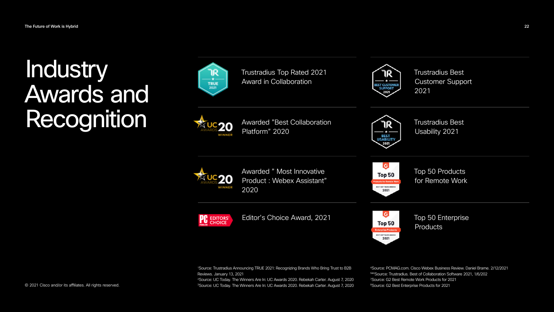### Industry Awards and Recognition









<sup>4</sup>Source: PCMAG.com. Cisco Webex Business Review. Daniel Brame. 2/12/2021 5&6Source: Trustradius. Best of Collaboration Software 2021, 1/6/202 7 Source: G2 Best Remote Work Products for 2021 8Source: G2 Best Enterprise Products for 2021

 Source: Trustradius Announcing TRUE 2021: Recognizing Brands Who Bring Trust to B2B Reviews. January 13, 2021 Source: UC Today. The Winners Are In: UC Awards 2020. Rebekah Carter. August 7, 2020 Source: UC Today. The Winners Are In: UC Awards 2020. Rebekah Carter. August 7, 2020